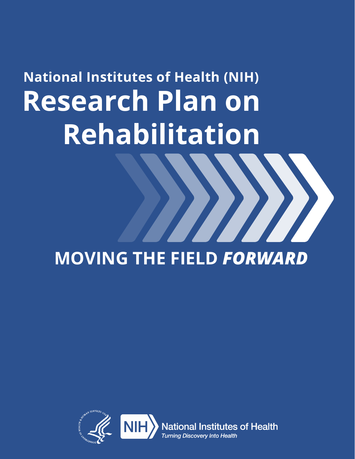# **National Institutes of Health (NIH) Research Plan on Rehabilitation**

# **MOVING THE FIELD** *FORWARD*

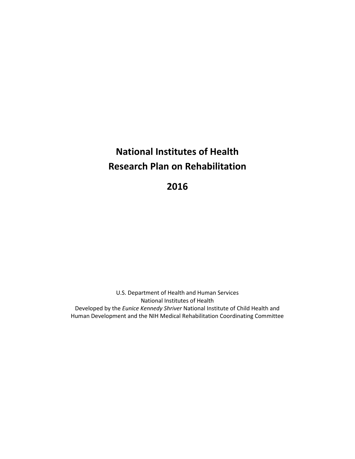# **National Institutes of Health Research Plan on Rehabilitation**

**2016** 

 U.S. Department of Health and Human Services National Institutes of Health Developed by the *Eunice Kennedy Shriver* National Institute of Child Health and Human Development and the NIH Medical Rehabilitation Coordinating Committee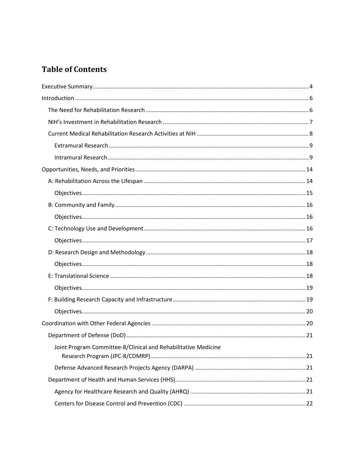# **Table of Contents**

| Joint Program Committee-8/Clinical and Rehabilitative Medicine |  |
|----------------------------------------------------------------|--|
|                                                                |  |
|                                                                |  |
|                                                                |  |
|                                                                |  |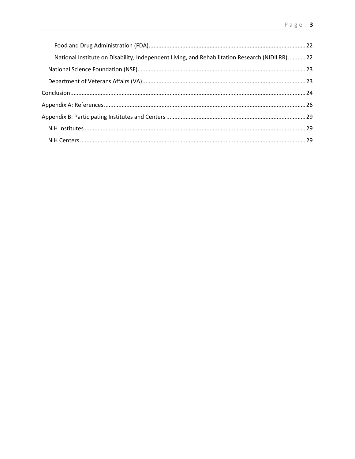| National Institute on Disability, Independent Living, and Rehabilitation Research (NIDILRR)22 |  |
|-----------------------------------------------------------------------------------------------|--|
|                                                                                               |  |
|                                                                                               |  |
|                                                                                               |  |
|                                                                                               |  |
|                                                                                               |  |
|                                                                                               |  |
|                                                                                               |  |
|                                                                                               |  |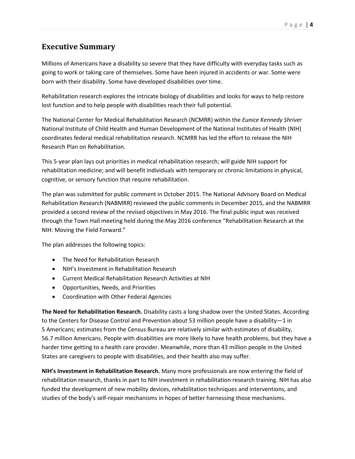# <span id="page-4-0"></span>**Executive Summary**

 going to work or taking care of themselves. Some have been injured in accidents or war. Some were Millions of Americans have a disability so severe that they have difficulty with everyday tasks such as born with their disability. Some have developed disabilities over time.

Rehabilitation research explores the intricate biology of disabilities and looks for ways to help restore lost function and to help people with disabilities reach their full potential.

 The National Center for Medical Rehabilitation Research (NCMRR) within the *Eunice Kennedy Shriver*  National Institute of Child Health and Human Development of the National Institutes of Health (NIH) coordinates federal medical rehabilitation research. NCMRR has led the effort to release the NIH Research Plan on Rehabilitation.

This 5-year plan lays out priorities in medical rehabilitation research; will guide NIH support for rehabilitation medicine; and will benefit individuals with temporary or chronic limitations in physical, cognitive, or sensory function that require rehabilitation.

 The plan was submitted for public comment in October 2015. The National Advisory Board on Medical Rehabilitation Research (NABMRR) reviewed the public comments in December 2015, and the NABMRR through the Town Hall meeting held during the May 2016 conference "Rehabilitation Research at the provided a second review of the revised objectives in May 2016. The final public input was received NIH: Moving the Field Forward."

The plan addresses the following topics:

- The Need for Rehabilitation Research
- NIH's Investment in Rehabilitation Research
- Current Medical Rehabilitation Research Activities at NIH
- Opportunities, Needs, and Priorities
- Coordination with Other Federal Agencies

 to the Centers for Disease Control and Prevention about 53 million people have a disability—1 in 5 Americans; estimates from the Census Bureau are relatively similar with estimates of disability, harder time getting to a health care provider. Meanwhile, more than 43 million people in the United States are caregivers to people with disabilities, and their health also may suffer. **The Need for Rehabilitation Research.** Disability casts a long shadow over the United States. According 56.7 million Americans. People with disabilities are more likely to have health problems, but they have a

 funded the development of new mobility devices, rehabilitation techniques and interventions, and **NIH's Investment in Rehabilitation Research.** Many more professionals are now entering the field of rehabilitation research, thanks in part to NIH investment in rehabilitation research training. NIH has also studies of the body's self-repair mechanisms in hopes of better harnessing those mechanisms.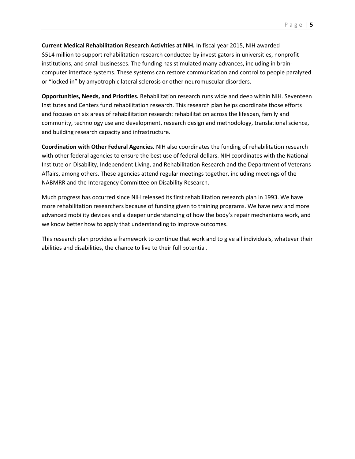\$514 million to support rehabilitation research conducted by investigators in universities, nonprofit **Current Medical Rehabilitation Research Activities at NIH.** In fiscal year 2015, NIH awarded institutions, and small businesses. The funding has stimulated many advances, including in braincomputer interface systems. These systems can restore communication and control to people paralyzed or "locked in" by amyotrophic lateral sclerosis or other neuromuscular disorders.

 Institutes and Centers fund rehabilitation research. This research plan helps coordinate those efforts community, technology use and development, research design and methodology, translational science, **Opportunities, Needs, and Priorities.** Rehabilitation research runs wide and deep within NIH. Seventeen and focuses on six areas of rehabilitation research: rehabilitation across the lifespan, family and and building research capacity and infrastructure.

 with other federal agencies to ensure the best use of federal dollars. NIH coordinates with the National Institute on Disability, Independent Living, and Rehabilitation Research and the Department of Veterans Affairs, among others. These agencies attend regular meetings together, including meetings of the **Coordination with Other Federal Agencies.** NIH also coordinates the funding of rehabilitation research NABMRR and the Interagency Committee on Disability Research.

 more rehabilitation researchers because of funding given to training programs. We have new and more advanced mobility devices and a deeper understanding of how the body's repair mechanisms work, and Much progress has occurred since NIH released its first rehabilitation research plan in 1993. We have we know better how to apply that understanding to improve outcomes.

This research plan provides a framework to continue that work and to give all individuals, whatever their abilities and disabilities, the chance to live to their full potential.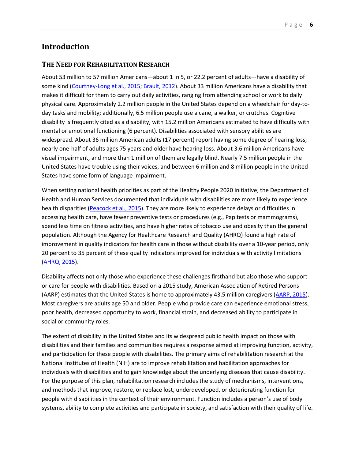# <span id="page-6-0"></span>**Introduction**

#### <span id="page-6-1"></span> **THE NEED FOR REHABILITATION RESEARCH**

 makes it difficult for them to carry out daily activities, ranging from attending school or work to daily day tasks and mobility; additionally, 6.5 million people use a cane, a walker, or crutches. Cognitive disability is frequently cited as a disability, with 15.2 million Americans estimated to have difficulty with mental or emotional functioning (6 percent). Disabilities associated with sensory abilities are widespread. About 36 million American adults (17 percent) report having some degree of hearing loss; nearly one-half of adults ages 75 years and older have hearing loss. About 3.6 million Americans have visual impairment, and more than 1 million of them are legally blind. Nearly 7.5 million people in the United States have trouble using their voices, and between 6 million and 8 million people in the United States have some form of language impairment. About 53 million to 57 million Americans—about 1 in 5, or 22.2 percent of adults—have a disability of some kind [\(Courtney-Long et al., 2015;](http://www.ncbi.nlm.nih.gov/pubmed/26225475) [Brault, 2012\)](http://www.census.gov/prod/2012pubs/p70-131.pdf). About 33 million Americans have a disability that physical care. Approximately 2.2 million people in the United States depend on a wheelchair for day-to-

States have some form of language impairment.<br>When setting national health priorities as part of the Healthy People 2020 initiative, the Department of accessing health care, have fewer preventive tests or procedures (e.g., Pap tests or mammograms), spend less time on fitness activities, and have higher rates of tobacco use and obesity than the general improvement in quality indicators for health care in those without disability over a 10-year period, only 20 percent to 35 percent of these quality indicators improved for individuals with activity limitations Health and Human Services documented that individuals with disabilities are more likely to experience health disparities [\(Peacock et al., 2015\)](http://www.ncbi.nlm.nih.gov/pubmed/26225616). They are more likely to experience delays or difficulties in population. Although the Agency for Healthcare Research and Quality (AHRQ) found a high rate of [\(AHRQ, 2015\)](http://www.ahrq.gov/research/findings/nhqrdr/nhqdr14/index.html).

 Most caregivers are adults age 50 and older. People who provide care can experience emotional stress, Disability affects not only those who experience these challenges firsthand but also those who support or care for people with disabilities. Based on a 2015 study, American Association of Retired Persons (AARP) estimates that the United States is home to approximately 43.5 million caregivers [\(AARP, 2015\)](http://www.aarp.org/content/dam/aarp/ppi/2015/caregiving-in-the-united-states-2015-report-revised.pdf). poor health, decreased opportunity to work, financial strain, and decreased ability to participate in social or community roles.

 National Institutes of Health (NIH) are to improve rehabilitation and habilitation approaches for individuals with disabilities and to gain knowledge about the underlying diseases that cause disability. For the purpose of this plan, rehabilitation research includes the study of mechanisms, interventions, people with disabilities in the context of their environment. Function includes a person's use of body systems, ability to complete activities and participate in society, and satisfaction with their quality of life. The extent of disability in the United States and its widespread public health impact on those with disabilities and their families and communities requires a response aimed at improving function, activity, and participation for these people with disabilities. The primary aims of rehabilitation research at the and methods that improve, restore, or replace lost, underdeveloped, or deteriorating function for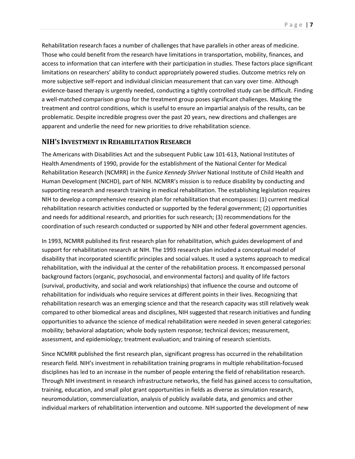Rehabilitation research faces a number of challenges that have parallels in other areas of medicine. Those who could benefit from the research have limitations in transportation, mobility, finances, and more subjective self-report and individual clinician measurement that can vary over time. Although evidence-based therapy is urgently needed, conducting a tightly controlled study can be difficult. Finding a well-matched comparison group for the treatment group poses significant challenges. Masking the apparent and underlie the need for new priorities to drive rehabilitation science. access to information that can interfere with their participation in studies. These factors place significant limitations on researchers' ability to conduct appropriately powered studies. Outcome metrics rely on treatment and control conditions, which is useful to ensure an impartial analysis of the results, can be problematic. Despite incredible progress over the past 20 years, new directions and challenges are

#### <span id="page-7-0"></span>**NIH'S INVESTMENT IN REHABILITATION RESEARCH**

 supporting research and research training in medical rehabilitation. The establishing legislation requires rehabilitation research activities conducted or supported by the federal government; (2) opportunities The Americans with Disabilities Act and the subsequent Public Law 101-613, National Institutes of Health Amendments of 1990, provide for the establishment of the National Center for Medical Rehabilitation Research (NCMRR) in the *Eunice Kennedy Shriver* National Institute of Child Health and Human Development (NICHD), part of NIH. NCMRR's mission is to reduce disability by conducting and NIH to develop a comprehensive research plan for rehabilitation that encompasses: (1) current medical and needs for additional research, and priorities for such research; (3) recommendations for the coordination of such research conducted or supported by NIH and other federal government agencies.

 In 1993, NCMRR published its first research plan for rehabilitation, which guides development of and support for rehabilitation research at NIH. The 1993 research plan included a conceptual model of compared to other biomedical areas and disciplines, NIH suggested that research initiatives and funding assessment, and epidemiology; treatment evaluation; and training of research scientists. disability that incorporated scientific principles and social values. It used a systems approach to medical rehabilitation, with the individual at the center of the rehabilitation process. It encompassed personal background factors (organic, psychosocial, and environmental factors) and quality of life factors (survival, productivity, and social and work relationships) that influence the course and outcome of rehabilitation for individuals who require services at different points in their lives. Recognizing that rehabilitation research was an emerging science and that the research capacity was still relatively weak opportunities to advance the science of medical rehabilitation were needed in seven general categories: mobility; behavioral adaptation; whole body system response; technical devices; measurement,

 Since NCMRR published the first research plan, significant progress has occurred in the rehabilitation disciplines has led to an increase in the number of people entering the field of rehabilitation research. Through NIH investment in research infrastructure networks, the field has gained access to consultation, neuromodulation, commercialization, analysis of publicly available data, and genomics and other research field. NIH's investment in rehabilitation training programs in multiple rehabilitation-focused training, education, and small pilot grant opportunities in fields as diverse as simulation research, individual markers of rehabilitation intervention and outcome. NIH supported the development of new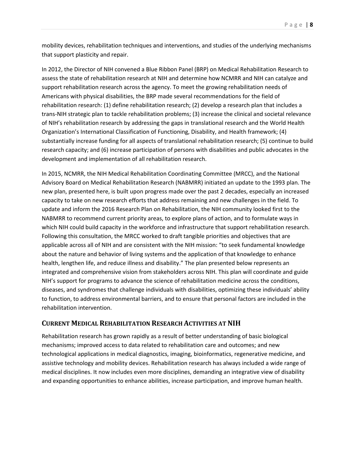mobility devices, rehabilitation techniques and interventions, and studies of the underlying mechanisms that support plasticity and repair.

 In 2012, the Director of NIH convened a Blue Ribbon Panel (BRP) on Medical Rehabilitation Research to trans-NIH strategic plan to tackle rehabilitation problems; (3) increase the clinical and societal relevance Organization's International Classification of Functioning, Disability, and Health framework; (4) substantially increase funding for all aspects of translational rehabilitation research; (5) continue to build research capacity; and (6) increase participation of persons with disabilities and public advocates in the assess the state of rehabilitation research at NIH and determine how NCMRR and NIH can catalyze and support rehabilitation research across the agency. To meet the growing rehabilitation needs of Americans with physical disabilities, the BRP made several recommendations for the field of rehabilitation research: (1) define rehabilitation research; (2) develop a research plan that includes a of NIH's rehabilitation research by addressing the gaps in translational research and the World Health development and implementation of all rehabilitation research.

 new plan, presented here, is built upon progress made over the past 2 decades, especially an increased capacity to take on new research efforts that address remaining and new challenges in the field. To update and inform the 2016 Research Plan on Rehabilitation, the NIH community looked first to the NABMRR to recommend current priority areas, to explore plans of action, and to formulate ways in which NIH could build capacity in the workforce and infrastructure that support rehabilitation research. Following this consultation, the MRCC worked to draft tangible priorities and objectives that are about the nature and behavior of living systems and the application of that knowledge to enhance NIH's support for programs to advance the science of rehabilitation medicine across the conditions, to function, to address environmental barriers, and to ensure that personal factors are included in the In 2015, NCMRR, the NIH Medical Rehabilitation Coordinating Committee (MRCC), and the National Advisory Board on Medical Rehabilitation Research (NABMRR) initiated an update to the 1993 plan. The applicable across all of NIH and are consistent with the NIH mission: "to seek fundamental knowledge health, lengthen life, and reduce illness and disability." The plan presented below represents an integrated and comprehensive vision from stakeholders across NIH. This plan will coordinate and guide diseases, and syndromes that challenge individuals with disabilities, optimizing these individuals' ability rehabilitation intervention.

#### <span id="page-8-0"></span>**CURRENT MEDICAL REHABILITATION RESEARCH ACTIVITIES AT NIH**

<span id="page-8-1"></span> Rehabilitation research has grown rapidly as a result of better understanding of basic biological mechanisms; improved access to data related to rehabilitation care and outcomes; and new technological applications in medical diagnostics, imaging, bioinformatics, regenerative medicine, and assistive technology and mobility devices. Rehabilitation research has always included a wide range of medical disciplines. It now includes even more disciplines, demanding an integrative view of disability and expanding opportunities to enhance abilities, increase participation, and improve human health.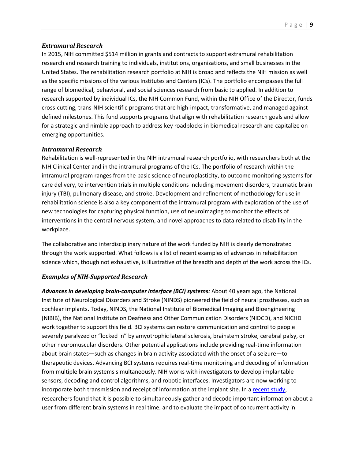#### *Extramural Research*

 In 2015, NIH committed \$514 million in grants and contracts to support extramural rehabilitation research and research training to individuals, institutions, organizations, and small businesses in the as the specific missions of the various Institutes and Centers (ICs). The portfolio encompasses the full research supported by individual ICs, the NIH Common Fund, within the NIH Office of the Director, funds defined milestones. This fund supports programs that align with rehabilitation research goals and allow for a strategic and nimble approach to address key roadblocks in biomedical research and capitalize on United States. The rehabilitation research portfolio at NIH is broad and reflects the NIH mission as well range of biomedical, behavioral, and social sciences research from basic to applied. In addition to cross-cutting, trans-NIH scientific programs that are high-impact, transformative, and managed against emerging opportunities.

#### <span id="page-9-0"></span> *Intramural Research*

 interventions in the central nervous system, and novel approaches to data related to disability in the Rehabilitation is well-represented in the NIH intramural research portfolio, with researchers both at the NIH Clinical Center and in the intramural programs of the ICs. The portfolio of research within the intramural program ranges from the basic science of neuroplasticity, to outcome monitoring systems for care delivery, to intervention trials in multiple conditions including movement disorders, traumatic brain injury (TBI), pulmonary disease, and stroke. Development and refinement of methodology for use in rehabilitation science is also a key component of the intramural program with exploration of the use of new technologies for capturing physical function, use of neuroimaging to monitor the effects of workplace.

 The collaborative and interdisciplinary nature of the work funded by NIH is clearly demonstrated through the work supported. What follows is a list of recent examples of advances in rehabilitation science which, though not exhaustive, is illustrative of the breadth and depth of the work across the ICs.

#### *Examples of NIH-Supported Research*

Advances in developing brain-computer interface (BCI) systems: About 40 years ago, the National Institute of Neurological Disorders and Stroke (NINDS) pioneered the field of neural prostheses, such as cochlear implants. Today, NINDS, the National Institute of Biomedical Imaging and Bioengineering (NIBIB), the National Institute on Deafness and Other Communication Disorders (NIDCD), and NICHD severely paralyzed or "locked in" by amyotrophic lateral sclerosis, brainstem stroke, cerebral palsy, or sensors, decoding and control algorithms, and robotic interfaces. Investigators are now working to researchers found that it is possible to simultaneously gather and decode important information about a work together to support this field. BCI systems can restore communication and control to people other neuromuscular disorders. Other potential applications include providing real-time information about brain states—such as changes in brain activity associated with the onset of a seizure—to therapeutic devices. Advancing BCI systems requires real-time monitoring and decoding of information from multiple brain systems simultaneously. NIH works with investigators to develop implantable incorporate both transmission and receipt of information at the implant site. In a [recent study,](http://www.ncbi.nlm.nih.gov/pubmed/25080161) user from different brain systems in real time, and to evaluate the impact of concurrent activity in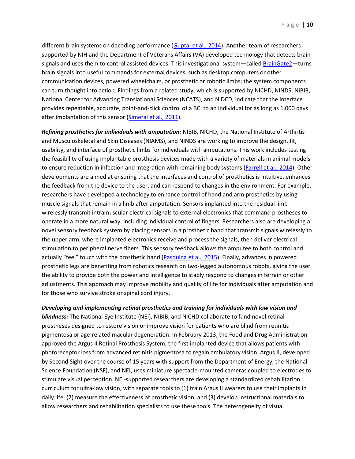different brain systems on decoding performance [\(Gupta, et al., 2014\)](http://www.ncbi.nlm.nih.gov/pubmed/25080161). Another team of researchers supported by NIH and the Department of Veterans Affairs (VA) developed technology that detects brain signals and uses them to control assisted devices. This investigational system—called [BrainGate2—](http://www.braingate2.org/)turns brain signals into useful commands for external devices, such as desktop computers or other communication devices, powered wheelchairs, or prosthetic or robotic limbs; the system components can turn thought into action. Findings from a related study, which is supported by NICHD, NINDS, NIBIB, National Center for Advancing Translational Sciences (NCATS), and NIDCD, indicate that the interface provides repeatable, accurate, point-and-click control of a BCI to an individual for as long as 1,000 days after implantation of this sensor [\(Simeral et al., 2011\)](http://www.ncbi.nlm.nih.gov/pubmed/21436513).

 *Refining prosthetics for individuals with amputation:* NIBIB, NICHD, the National Institute of Arthritis and Musculoskeletal and Skin Diseases (NIAMS), and NINDS are working to improve the design, fit, developments are aimed at ensuring that the interfaces and control of prosthetics is intuitive, enhances the feedback from the device to the user, and can respond to changes in the environment. For example, researchers have developed a technology to enhance control of hand and arm prosthetics by using usability, and interface of prosthetic limbs for individuals with amputations. This work includes testing the feasibility of using implantable prosthesis devices made with a variety of materials in animal models to ensure reduction in infection and integration with remaining body systems [\(Farrell et al., 2014\)](http://www.ncbi.nlm.nih.gov/pubmed/24405567). Other muscle signals that remain in a limb after amputation. Sensors implanted into the residual limb wirelessly transmit intramuscular electrical signals to external electronics that command prostheses to operate in a more natural way, including individual control of fingers. Researchers also are developing a novel sensory feedback system by placing sensors in a prosthetic hand that transmit signals wirelessly to the upper arm, where implanted electronics receive and process the signals, then deliver electrical stimulation to peripheral nerve fibers. This sensory feedback allows the amputee to both control and actually "feel" touch with the prosthetic hand [\(Pasquina et al., 2015\)](http://www.ncbi.nlm.nih.gov/pubmed/25102286). Finally, advances in powered prosthetic legs are benefiting from robotics research on two-legged autonomous robots, giving the user the ability to provide both the power and intelligence to stably respond to changes in terrain or other adjustments. This approach may improve mobility and quality of life for individuals after amputation and for those who survive stroke or spinal cord injury.

 *Developing and implementing retinal prosthetics and training for individuals with low vision and*  prostheses designed to restore vision or improve vision for patients who are blind from retinitis by Second Sight over the course of 15 years with support from the Department of Energy, the National Science Foundation (NSF), and NEI, uses miniature spectacle-mounted cameras coupled to electrodes to curriculum for ultra-low vision, with separate tools to (1) train Argus II wearers to use their implants in *blindness:* The National Eye Institute (NEI), NIBIB, and NICHD collaborate to fund novel retinal pigmentosa or age-related macular degeneration. In February 2013, the Food and Drug Administration approved the Argus II Retinal Prosthesis System, the first implanted device that allows patients with photoreceptor loss from advanced retinitis pigmentosa to regain ambulatory vision. Argus II, developed stimulate visual perception. NEI-supported researchers are developing a standardized rehabilitation daily life, (2) measure the effectiveness of prosthetic vision, and (3) develop instructional materials to allow researchers and rehabilitation specialists to use these tools. The heterogeneity of visual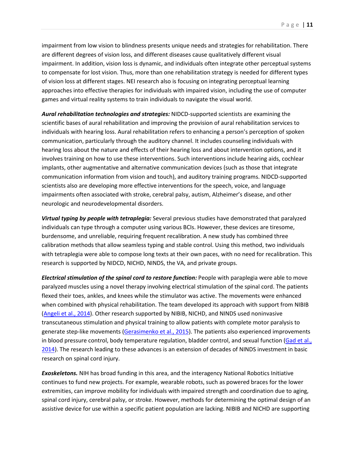impairment. In addition, vision loss is dynamic, and individuals often integrate other perceptual systems to compensate for lost vision. Thus, more than one rehabilitation strategy is needed for different types games and virtual reality systems to train individuals to navigate the visual world. impairment from low vision to blindness presents unique needs and strategies for rehabilitation. There are different degrees of vision loss, and different diseases cause qualitatively different visual of vision loss at different stages. NEI research also is focusing on integrating perceptual learning approaches into effective therapies for individuals with impaired vision, including the use of computer

 scientific bases of aural rehabilitation and improving the provision of aural rehabilitation services to individuals with hearing loss. Aural rehabilitation refers to enhancing a person's perception of spoken hearing loss about the nature and effects of their hearing loss and about intervention options, and it scientists also are developing more effective interventions for the speech, voice, and language impairments often associated with stroke, cerebral palsy, autism, Alzheimer's disease, and other *Aural rehabilitation technologies and strategies:* NIDCD-supported scientists are examining the communication, particularly through the auditory channel. It includes counseling individuals with involves training on how to use these interventions. Such interventions include hearing aids, cochlear implants, other augmentative and alternative communication devices (such as those that integrate communication information from vision and touch), and auditory training programs. NIDCD-supported neurologic and neurodevelopmental disorders.

 *Virtual typing by people with tetraplegia:* Several previous studies have demonstrated that paralyzed calibration methods that allow seamless typing and stable control. Using this method, two individuals individuals can type through a computer using various BCIs. However, these devices are tiresome, burdensome, and unreliable, requiring frequent recalibration. A new study has combined three with tetraplegia were able to compose long texts at their own paces, with no need for recalibration. This research is supported by NIDCD, NICHD, NINDS, the VA, and private groups.

Electrical stimulation of the spinal cord to restore function: People with paraplegia were able to move paralyzed muscles using a novel therapy involving electrical stimulation of the spinal cord. The patients flexed their toes, ankles, and knees while the stimulator was active. The movements were enhanced when combined with physical rehabilitation. The team developed its approach with support from NIBIB [\(Angeli et al., 2014\)](http://www.ncbi.nlm.nih.gov/pubmed/?term=24713270). Other research supported by NIBIB, NICHD, and NINDS used noninvasive transcutaneous stimulation and physical training to allow patients with complete motor paralysis to generate step-like movements [\(Gerasimenko et al., 2015\)](http://www.ncbi.nlm.nih.gov/pubmed/26077679). The patients also experienced improvements in blood pressure control, body temperature regulation, bladder control, and sexual function [\(Gad et al.,](http://www.ncbi.nlm.nih.gov/pubmed/25264607)  [2014\)](http://www.ncbi.nlm.nih.gov/pubmed/25264607). The research leading to these advances is an extension of decades of NINDS investment in basic research on spinal cord injury.

*Exoskeletons.* NIH has broad funding in this area, and the interagency National Robotics Initiative continues to fund new projects. For example, wearable robots, such as powered braces for the lower extremities, can improve mobility for individuals with impaired strength and coordination due to aging, spinal cord injury, cerebral palsy, or stroke. However, methods for determining the optimal design of an assistive device for use within a specific patient population are lacking. NIBIB and NICHD are supporting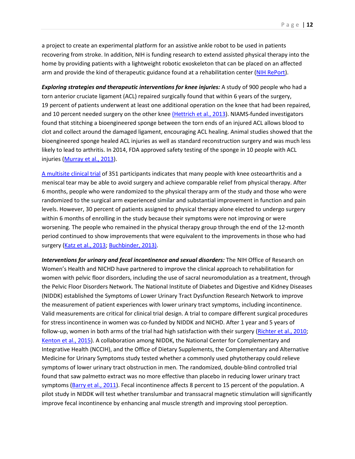a project to create an experimental platform for an assistive ankle robot to be used in patients arm and provide the kind of therapeutic guidance found at a rehabilitation center [\(NIH RePort\)](https://projectreporter.nih.gov/project_info_description.cfm?aid=8838327&icde=23094651&ddparam=&ddvalue=&ddsub=&cr=1&csb=default&cs=ASC). recovering from stroke. In addition, NIH is funding research to extend assisted physical therapy into the home by providing patients with a lightweight robotic exoskeleton that can be placed on an affected

 *Exploring strategies and therapeutic interventions for knee injuries:* A study of 900 people who had a torn anterior cruciate ligament (ACL) repaired surgically found that within 6 years of the surgery, and 10 percent needed surgery on the other knee [\(Hettrich et al., 2013\)](http://www.ncbi.nlm.nih.gov/pubmed/23722056). NIAMS-funded investigators clot and collect around the damaged ligament, encouraging ACL healing. Animal studies showed that the bioengineered sponge healed ACL injuries as well as standard reconstruction surgery and was much less injuries (Murray et al., 2013). injuries (<u>Murray et al., 2013</u>).<br><u>A multisite clinical trial</u> of 351 participants indicates that many people with knee osteoarthritis and a 19 percent of patients underwent at least one additional operation on the knee that had been repaired, found that stitching a bioengineered sponge between the torn ends of an injured ACL allows blood to likely to lead to arthritis. In 2014, FDA approved safety testing of the sponge in 10 people with ACL

 meniscal tear may be able to avoid surgery and achieve comparable relief from physical therapy. After 6 months, people who were randomized to the physical therapy arm of the study and those who were randomized to the surgical arm experienced similar and substantial improvement in function and pain within 6 months of enrolling in the study because their symptoms were not improving or were worsening. The people who remained in the physical therapy group through the end of the 12-month period continued to show improvements that were equivalent to the improvements in those who had levels. However, 30 percent of patients assigned to physical therapy alone elected to undergo surgery surgery [\(Katz et al., 2013;](http://www.ncbi.nlm.nih.gov/pubmed/23506518) [Buchbinder, 2013\)](http://www.ncbi.nlm.nih.gov/pubmed/23506467).

Interventions for urinary and fecal incontinence and sexual disorders: The NIH Office of Research on Women's Health and NICHD have partnered to improve the clinical approach to rehabilitation for the Pelvic Floor Disorders Network. The National Institute of Diabetes and Digestive and Kidney Diseases for stress incontinence in women was co-funded by NIDDK and NICHD. After 1 year and 5 years of follow-up, women in both arms of the trial had high satisfaction with their surgery [\(Richter et al., 2010;](http://www.ncbi.nlm.nih.gov/pubmed/20479459/) Medicine for Urinary Symptoms study tested whether a commonly used phytotherapy could relieve found that saw palmetto extract was no more effective than placebo in reducing lower urinary tract symptoms [\(Barry et al., 2011\)](http://www.ncbi.nlm.nih.gov/pubmed/21954478). Fecal incontinence affects 8 percent to 15 percent of the population. A improve fecal incontinence by enhancing anal muscle strength and improving stool perception. women with pelvic floor disorders, including the use of sacral neuromodulation as a treatment, through (NIDDK) established the Symptoms of Lower Urinary Tract Dysfunction Research Network to improve the measurement of patient experiences with lower urinary tract symptoms, including incontinence. Valid measurements are critical for clinical trial design. A trial to compare different surgical procedures [Kenton et al., 2015\)](http://www.ncbi.nlm.nih.gov/pubmed/25158274). A collaboration among NIDDK, the National Center for Complementary and Integrative Health (NCCIH), and the Office of Dietary Supplements, the Complementary and Alternative symptoms of lower urinary tract obstruction in men. The randomized, double-blind controlled trial pilot study in NIDDK will test whether translumbar and transsacral magnetic stimulation will significantly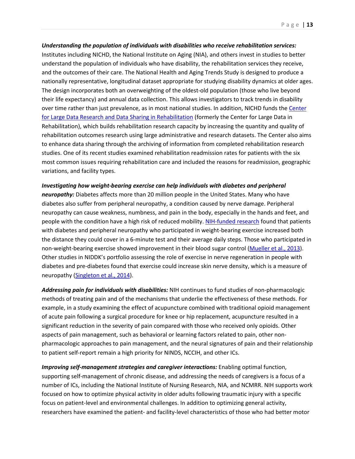Institutes including NICHD, the National Institute on Aging (NIA), and others invest in studies to better and the outcomes of their care. The National Health and Aging Trends Study is designed to produce a their life expectancy) and annual data collection. This allows investigators to track trends in disability [for Large Data Research and Data Sharing in Rehabilitation](http://rehabsciences.utmb.edu/cldr/) (formerly the Center for Large Data in studies. One of its recent studies examined rehabilitation readmission rates for patients with the six most common issues requiring rehabilitation care and included the reasons for readmission, geographic *Understanding the population of individuals with disabilities who receive rehabilitation services:*  understand the population of individuals who have disability, the rehabilitation services they receive, nationally representative, longitudinal dataset appropriate for studying disability dynamics at older ages. The design incorporates both an overweighting of the oldest-old population (those who live beyond over time rather than just prevalence, as in most national studies. In addition, NICHD funds the Center Rehabilitation), which builds rehabilitation research capacity by increasing the quantity and quality of rehabilitation outcomes research using large administrative and research datasets. The Center also aims to enhance data sharing through the archiving of information from completed rehabilitation research variations, and facility types.

 *neuropathy:* Diabetes affects more than 20 million people in the United States. Many who have people with the condition have a high risk of reduced mobility. [NIH-funded research f](http://www.ncbi.nlm.nih.gov/pubmed/?term=23276801)ound that patients diabetes and pre-diabetes found that exercise could increase skin nerve density, which is a measure of neuropathy [\(Singleton et al., 2014\)](http://www.ncbi.nlm.nih.gov/pubmed/25493275). *Investigating how weight-bearing exercise can help individuals with diabetes and peripheral*  diabetes also suffer from peripheral neuropathy, a condition caused by nerve damage. Peripheral neuropathy can cause weakness, numbness, and pain in the body, especially in the hands and feet, and with diabetes and peripheral neuropathy who participated in weight-bearing exercise increased both the distance they could cover in a 6-minute test and their average daily steps. Those who participated in non-weight-bearing exercise showed improvement in their blood sugar control [\(Mueller et al., 2013\)](http://www.ncbi.nlm.nih.gov/pubmed/23276801). Other studies in NIDDK's portfolio assessing the role of exercise in nerve regeneration in people with

 *Addressing pain for individuals with disabilities:* NIH continues to fund studies of non-pharmacologic methods of treating pain and of the mechanisms that underlie the effectiveness of these methods. For significant reduction in the severity of pain compared with those who received only opioids. Other aspects of pain management, such as behavioral or learning factors related to pain, other non- pharmacologic approaches to pain management, and the neural signatures of pain and their relationship example, in a study examining the effect of acupuncture combined with traditional opioid management of acute pain following a surgical procedure for knee or hip replacement, acupuncture resulted in a to patient self-report remain a high priority for NINDS, NCCIH, and other ICs.

 researchers have examined the patient- and facility-level characteristics of those who had better motor *Improving self-management strategies and caregiver interactions:* Enabling optimal function, supporting self-management of chronic disease, and addressing the needs of caregivers is a focus of a number of ICs, including the National Institute of Nursing Research, NIA, and NCMRR. NIH supports work focused on how to optimize physical activity in older adults following traumatic injury with a specific focus on patient-level and environmental challenges. In addition to optimizing general activity,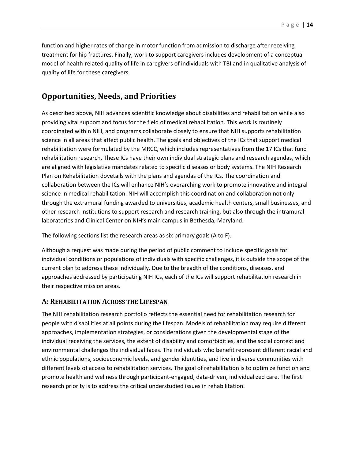function and higher rates of change in motor function from admission to discharge after receiving quality of life for these caregivers. treatment for hip fractures. Finally, work to support caregivers includes development of a conceptual model of health-related quality of life in caregivers of individuals with TBI and in qualitative analysis of

#### <span id="page-14-0"></span>**Opportunities, Needs, and Priorities**

 As described above, NIH advances scientific knowledge about disabilities and rehabilitation while also providing vital support and focus for the field of medical rehabilitation. This work is routinely coordinated within NIH, and programs collaborate closely to ensure that NIH supports rehabilitation science in all areas that affect public health. The goals and objectives of the ICs that support medical rehabilitation were formulated by the MRCC, which includes representatives from the 17 ICs that fund rehabilitation research. These ICs have their own individual strategic plans and research agendas, which collaboration between the ICs will enhance NIH's overarching work to promote innovative and integral through the extramural funding awarded to universities, academic health centers, small businesses, and are aligned with legislative mandates related to specific diseases or body systems. The NIH Research Plan on Rehabilitation dovetails with the plans and agendas of the ICs. The coordination and science in medical rehabilitation. NIH will accomplish this coordination and collaboration not only other research institutions to support research and research training, but also through the intramural laboratories and Clinical Center on NIH's main campus in Bethesda, Maryland.

The following sections list the research areas as six primary goals (A to F).

 Although a request was made during the period of public comment to include specific goals for individual conditions or populations of individuals with specific challenges, it is outside the scope of the current plan to address these individually. Due to the breadth of the conditions, diseases, and approaches addressed by participating NIH ICs, each of the ICs will support rehabilitation research in their respective mission areas.

#### <span id="page-14-1"></span>**A: REHABILITATION ACROSS THE LIFESPAN**

 The NIH rehabilitation research portfolio reflects the essential need for rehabilitation research for different levels of access to rehabilitation services. The goal of rehabilitation is to optimize function and promote health and wellness through participant-engaged, data-driven, individualized care. The first people with disabilities at all points during the lifespan. Models of rehabilitation may require different approaches, implementation strategies, or considerations given the developmental stage of the individual receiving the services, the extent of disability and comorbidities, and the social context and environmental challenges the individual faces. The individuals who benefit represent different racial and ethnic populations, socioeconomic levels, and gender identities, and live in diverse communities with research priority is to address the critical understudied issues in rehabilitation.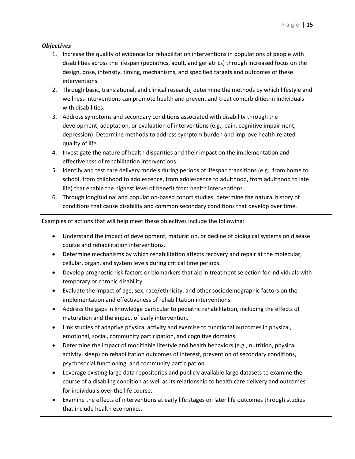#### <span id="page-15-0"></span>*Objectives*

- 1. Increase the quality of evidence for rehabilitation interventions in populations of people with disabilities across the lifespan (pediatrics, adult, and geriatrics) through increased focus on the design, dose, intensity, timing, mechanisms, and specified targets and outcomes of these interventions.
- interventions.<br>2. Through basic, translational, and clinical research, determine the methods by which lifestyle and wellness interventions can promote health and prevent and treat comorbidities in individuals with disabilities.
- 3. Address symptoms and secondary conditions associated with disability through the development, adaptation, or evaluation of interventions (e.g., pain, cognitive impairment, depression). Determine methods to address symptom burden and improve health-related quality of life.
- 4. Investigate the nature of health disparities and their impact on the implementation and effectiveness of rehabilitation interventions.
- school, from childhood to adolescence, from adolescence to adulthood, from adulthood to late 5. Identify and test care delivery models during periods of lifespan transitions (e.g., from home to life) that enable the highest level of benefit from health interventions.
- conditions that cause disability and common secondary conditions that develop over time. 6. Through longitudinal and population-based cohort studies, determine the natural history of

Examples of actions that will help meet these objectives include the following:

- Understand the impact of development, maturation, or decline of biological systems on disease course and rehabilitation interventions.
- Determine mechanisms by which rehabilitation affects recovery and repair at the molecular, cellular, organ, and system levels during critical time periods.
- • Develop prognostic risk factors or biomarkers that aid in treatment selection for individuals with temporary or chronic disability.
- • Evaluate the impact of age, sex, race/ethnicity, and other sociodemographic factors on the implementation and effectiveness of rehabilitation interventions.
- • Address the gaps in knowledge particular to pediatric rehabilitation, including the effects of maturation and the impact of early intervention.
- Link studies of adaptive physical activity and exercise to functional outcomes in physical, emotional, social, community participation, and cognitive domains.
- activity, sleep) on rehabilitation outcomes of interest, prevention of secondary conditions, psychosocial functioning, and community participation. • Determine the impact of modifiable lifestyle and health behaviors (e.g., nutrition, physical
- • Leverage existing large data repositories and publicly available large datasets to examine the course of a disabling condition as well as its relationship to health care delivery and outcomes for individuals over the life course.
- that include health economics. • Examine the effects of interventions at early life stages on later life outcomes through studies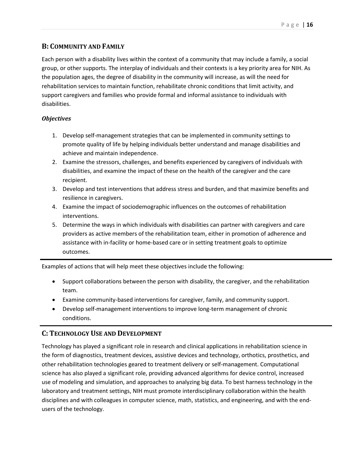#### <span id="page-16-0"></span>**B: COMMUNITY AND FAMILY**

 Each person with a disability lives within the context of a community that may include a family, a social rehabilitation services to maintain function, rehabilitate chronic conditions that limit activity, and group, or other supports. The interplay of individuals and their contexts is a key priority area for NIH. As the population ages, the degree of disability in the community will increase, as will the need for support caregivers and families who provide formal and informal assistance to individuals with disabilities.

#### <span id="page-16-1"></span>*Objectives*

- 1. Develop self-management strategies that can be implemented in community settings to promote quality of life by helping individuals better understand and manage disabilities and achieve and maintain independence.
- 2. Examine the stressors, challenges, and benefits experienced by caregivers of individuals with disabilities, and examine the impact of these on the health of the caregiver and the care recipient.
- 3. Develop and test interventions that address stress and burden, and that maximize benefits and resilience in caregivers.
- 4. Examine the impact of sociodemographic influences on the outcomes of rehabilitation interventions.
- 5. Determine the ways in which individuals with disabilities can partner with caregivers and care providers as active members of the rehabilitation team, either in promotion of adherence and assistance with in-facility or home-based care or in setting treatment goals to optimize outcomes.

Examples of actions that will help meet these objectives include the following:

- • Support collaborations between the person with disability, the caregiver, and the rehabilitation team.
- Examine community-based interventions for caregiver, family, and community support.
- conditions. • Develop self-management interventions to improve long-term management of chronic

#### <span id="page-16-2"></span>**C: TECHNOLOGY USE AND DEVELOPMENT**

 Technology has played a significant role in research and clinical applications in rehabilitation science in laboratory and treatment settings, NIH must promote interdisciplinary collaboration within the health the form of diagnostics, treatment devices, assistive devices and technology, orthotics, prosthetics, and other rehabilitation technologies geared to treatment delivery or self-management. Computational science has also played a significant role, providing advanced algorithms for device control, increased use of modeling and simulation, and approaches to analyzing big data. To best harness technology in the disciplines and with colleagues in computer science, math, statistics, and engineering, and with the endusers of the technology.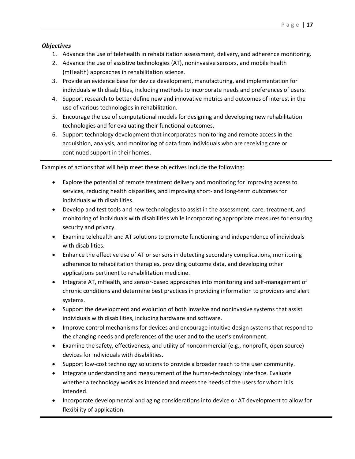#### <span id="page-17-0"></span>*Objectives*

- 1. Advance the use of telehealth in rehabilitation assessment, delivery, and adherence monitoring.
- 2. Advance the use of assistive technologies (AT), noninvasive sensors, and mobile health (mHealth) approaches in rehabilitation science.
- 3. Provide an evidence base for device development, manufacturing, and implementation for individuals with disabilities, including methods to incorporate needs and preferences of users.
- 4. Support research to better define new and innovative metrics and outcomes of interest in the use of various technologies in rehabilitation.
- 5. Encourage the use of computational models for designing and developing new rehabilitation technologies and for evaluating their functional outcomes.
- acquisition, analysis, and monitoring of data from individuals who are receiving care or 6. Support technology development that incorporates monitoring and remote access in the continued support in their homes.

Examples of actions that will help meet these objectives include the following:

- services, reducing health disparities, and improving short- and long-term outcomes for • Explore the potential of remote treatment delivery and monitoring for improving access to individuals with disabilities.
- • Develop and test tools and new technologies to assist in the assessment, care, treatment, and monitoring of individuals with disabilities while incorporating appropriate measures for ensuring security and privacy.
- Examine telehealth and AT solutions to promote functioning and independence of individuals with disabilities.
- applications pertinent to rehabilitation medicine. • Enhance the effective use of AT or sensors in detecting secondary complications, monitoring adherence to rehabilitation therapies, providing outcome data, and developing other
- Integrate AT, mHealth, and sensor-based approaches into monitoring and self-management of chronic conditions and determine best practices in providing information to providers and alert systems.
- • Support the development and evolution of both invasive and noninvasive systems that assist individuals with disabilities, including hardware and software.
- Improve control mechanisms for devices and encourage intuitive design systems that respond to the changing needs and preferences of the user and to the user's environment.
- Examine the safety, effectiveness, and utility of noncommercial (e.g., nonprofit, open source) devices for individuals with disabilities.
- • Support low-cost technology solutions to provide a broader reach to the user community.
- Integrate understanding and measurement of the human-technology interface. Evaluate whether a technology works as intended and meets the needs of the users for whom it is intended.
- Incorporate developmental and aging considerations into device or AT development to allow for flexibility of application.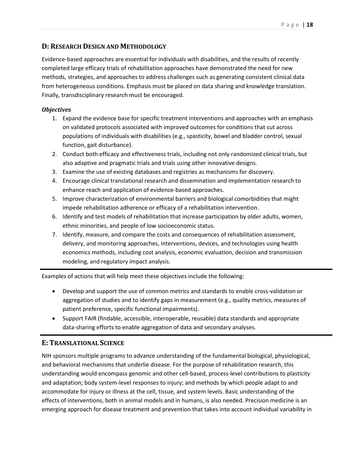#### <span id="page-18-0"></span>**D: RESEARCH DESIGN AND METHODOLOGY**

 Evidence-based approaches are essential for individuals with disabilities, and the results of recently methods, strategies, and approaches to address challenges such as generating consistent clinical data from heterogeneous conditions. Emphasis must be placed on data sharing and knowledge translation. completed large efficacy trials of rehabilitation approaches have demonstrated the need for new Finally, transdisciplinary research must be encouraged.

#### <span id="page-18-1"></span>*Objectives*

- 1. Expand the evidence base for specific treatment interventions and approaches with an emphasis on validated protocols associated with improved outcomes for conditions that cut across populations of individuals with disabilities (e.g., spasticity, bowel and bladder control, sexual function, gait disturbance).
- also adaptive and pragmatic trials and trials using other innovative designs. 2. Conduct both efficacy and effectiveness trials, including not only randomized clinical trials, but
- 3. Examine the use of existing databases and registries as mechanisms for discovery.
- 4. Encourage clinical translational research and dissemination and implementation research to enhance reach and application of evidence-based approaches.
- impede rehabilitation adherence or efficacy of a rehabilitation intervention. 5. Improve characterization of environmental barriers and biological comorbidities that might
- 6. Identify and test models of rehabilitation that increase participation by older adults, women, ethnic minorities, and people of low socioeconomic status.
- 7. Identify, measure, and compare the costs and consequences of rehabilitation assessment, delivery, and monitoring approaches, interventions, devices, and technologies using health economics methods, including cost analysis, economic evaluation, decision and transmission modeling, and regulatory impact analysis.

Examples of actions that will help meet these objectives include the following:

- • Develop and support the use of common metrics and standards to enable cross-validation or aggregation of studies and to identify gaps in measurement (e.g., quality metrics, measures of patient preference, specific functional impairments).
- • Support FAIR (findable, accessible, interoperable, reusable) data standards and appropriate data-sharing efforts to enable aggregation of data and secondary analyses.

#### <span id="page-18-2"></span>**E: TRANSLATIONAL SCIENCE**

 and behavioral mechanisms that underlie disease. For the purpose of rehabilitation research, this accommodate for injury or illness at the cell, tissue, and system levels. Basic understanding of the effects of interventions, both in animal models and in humans, is also needed. Precision medicine is an NIH sponsors multiple programs to advance understanding of the fundamental biological, physiological, understanding would encompass genomic and other cell-based, process-level contributions to plasticity and adaptation; body system-level responses to injury; and methods by which people adapt to and emerging approach for disease treatment and prevention that takes into account individual variability in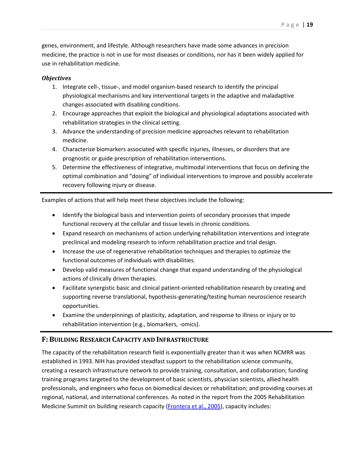genes, environment, and lifestyle. Although researchers have made some advances in precision medicine, the practice is not in use for most diseases or conditions, nor has it been widely applied for use in rehabilitation medicine.

#### <span id="page-19-0"></span>*Objectives*

- 1. Integrate cell-, tissue-, and model organism-based research to identify the principal physiological mechanisms and key interventional targets in the adaptive and maladaptive changes associated with disabling conditions.
- 2. Encourage approaches that exploit the biological and physiological adaptations associated with rehabilitation strategies in the clinical setting.
- 3. Advance the understanding of precision medicine approaches relevant to rehabilitation medicine.
- 4. Characterize biomarkers associated with specific injuries, illnesses, or disorders that are prognostic or guide prescription of rehabilitation interventions.
- 5. Determine the effectiveness of integrative, multimodal interventions that focus on defining the optimal combination and "dosing" of individual interventions to improve and possibly accelerate recovery following injury or disease.

Examples of actions that will help meet these objectives include the following:

- • Identify the biological basis and intervention points of secondary processes that impede functional recovery at the cellular and tissue levels in chronic conditions.
- Expand research on mechanisms of action underlying rehabilitation interventions and integrate preclinical and modeling research to inform rehabilitation practice and trial design.
- Increase the use of regenerative rehabilitation techniques and therapies to optimize the functional outcomes of individuals with disabilities.
- • Develop valid measures of functional change that expand understanding of the physiological actions of clinically driven therapies.
- Facilitate synergistic basic and clinical patient-oriented rehabilitation research by creating and supporting reverse translational, hypothesis-generating/testing human neuroscience research opportunities.
- rehabilitation intervention (e.g., biomarkers, -omics). • Examine the underpinnings of plasticity, adaptation, and response to illness or injury or to

#### <span id="page-19-1"></span>**F: BUILDING RESEARCH CAPACITY AND INFRASTRUCTURE**

 professionals, and engineers who focus on biomedical devices or rehabilitation; and providing courses at Medicine Summit on building research capacity [\(Frontera et al., 2005\)](http://www.ncbi.nlm.nih.gov/pubmed/16698738), capacity includes: The capacity of the rehabilitation research field is exponentially greater than it was when NCMRR was established in 1993. NIH has provided steadfast support to the rehabilitation science community, creating a research infrastructure network to provide training, consultation, and collaboration; funding training programs targeted to the development of basic scientists, physician scientists, allied health regional, national, and international conferences. As noted in the report from the 2005 Rehabilitation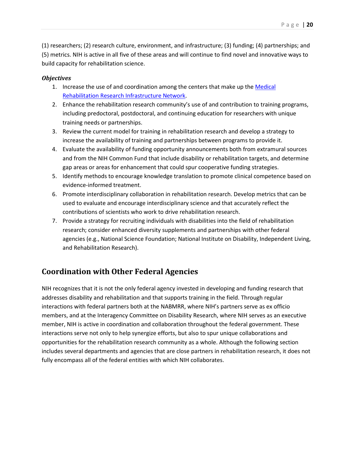(5) metrics. NIH is active in all five of these areas and will continue to find novel and innovative ways to (1) researchers; (2) research culture, environment, and infrastructure; (3) funding; (4) partnerships; and build capacity for rehabilitation science.

#### <span id="page-20-0"></span>*Objectives*

- [Rehabilitation Research Infrastructure Network.](https://www.nichd.nih.gov/research/supported/Pages/mrrin.aspx) 1. Increase the use of and coordination among the centers that make up the Medical
- 2. Enhance the rehabilitation research community's use of and contribution to training programs, including predoctoral, postdoctoral, and continuing education for researchers with unique training needs or partnerships.
- 3. Review the current model for training in rehabilitation research and develop a strategy to increase the availability of training and partnerships between programs to provide it.
- 4. Evaluate the availability of funding opportunity announcements both from extramural sources and from the NIH Common Fund that include disability or rehabilitation targets, and determine gap areas or areas for enhancement that could spur cooperative funding strategies.
- 5. Identify methods to encourage knowledge translation to promote clinical competence based on evidence-informed treatment.
- used to evaluate and encourage interdisciplinary science and that accurately reflect the contributions of scientists who work to drive rehabilitation research. 6. Promote interdisciplinary collaboration in rehabilitation research. Develop metrics that can be
- research; consider enhanced diversity supplements and partnerships with other federal 7. Provide a strategy for recruiting individuals with disabilities into the field of rehabilitation agencies (e.g., National Science Foundation; National Institute on Disability, Independent Living, and Rehabilitation Research).

# <span id="page-20-1"></span>**Coordination with Other Federal Agencies**

 fully encompass all of the federal entities with which NIH collaborates. NIH recognizes that it is not the only federal agency invested in developing and funding research that addresses disability and rehabilitation and that supports training in the field. Through regular interactions with federal partners both at the NABMRR, where NIH's partners serve as ex officio members, and at the Interagency Committee on Disability Research, where NIH serves as an executive member, NIH is active in coordination and collaboration throughout the federal government. These interactions serve not only to help synergize efforts, but also to spur unique collaborations and opportunities for the rehabilitation research community as a whole. Although the following section includes several departments and agencies that are close partners in rehabilitation research, it does not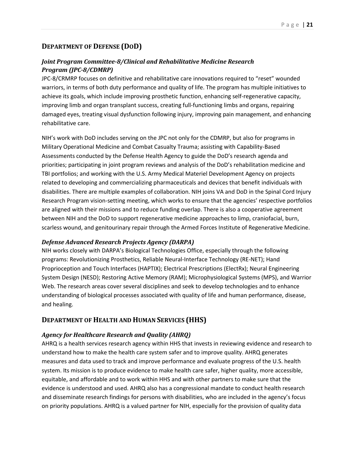#### <span id="page-21-0"></span>**DEPARTMENT OF DEFENSE (DOD)**

#### <span id="page-21-1"></span>*Joint Program Committee-8/Clinical and Rehabilitative Medicine Research Program (JPC-8/CDMRP)*

 improving limb and organ transplant success, creating full-functioning limbs and organs, repairing JPC-8/CRMRP focuses on definitive and rehabilitative care innovations required to "reset" wounded warriors, in terms of both duty performance and quality of life. The program has multiple initiatives to achieve its goals, which include improving prosthetic function, enhancing self-regenerative capacity, damaged eyes, treating visual dysfunction following injury, improving pain management, and enhancing rehabilitative care.

 NIH's work with DoD includes serving on the JPC not only for the CDMRP, but also for programs in priorities; participating in joint program reviews and analysis of the DoD's rehabilitation medicine and TBI portfolios; and working with the U.S. Army Medical Materiel Development Agency on projects Military Operational Medicine and Combat Casualty Trauma; assisting with Capability-Based Assessments conducted by the Defense Health Agency to guide the DoD's research agenda and related to developing and commercializing pharmaceuticals and devices that benefit individuals with disabilities. There are multiple examples of collaboration. NIH joins VA and DoD in the Spinal Cord Injury Research Program vision-setting meeting, which works to ensure that the agencies' respective portfolios are aligned with their missions and to reduce funding overlap. There is also a cooperative agreement between NIH and the DoD to support regenerative medicine approaches to limp, craniofacial, burn, scarless wound, and genitourinary repair through the Armed Forces Institute of Regenerative Medicine.

#### <span id="page-21-2"></span>*Defense Advanced Research Projects Agency (DARPA)*

 System Design (NESD); Restoring Active Memory (RAM); Microphysiological Systems (MPS), and Warrior NIH works closely with DARPA's Biological Technologies Office, especially through the following programs: Revolutionizing Prosthetics, Reliable Neural-Interface Technology (RE-NET); Hand Proprioception and Touch Interfaces (HAPTIX); Electrical Prescriptions (ElectRx); Neural Engineering Web. The research areas cover several disciplines and seek to develop technologies and to enhance understanding of biological processes associated with quality of life and human performance, disease, and healing.

#### <span id="page-21-3"></span>**DEPARTMENT OF HEALTH AND HUMAN SERVICES (HHS)**

#### <span id="page-21-4"></span> *Agency for Healthcare Research and Quality (AHRQ)*

 system. Its mission is to produce evidence to make health care safer, higher quality, more accessible, equitable, and affordable and to work within HHS and with other partners to make sure that the evidence is understood and used. AHRQ also has a congressional mandate to conduct health research AHRQ is a health services research agency within HHS that invests in reviewing evidence and research to understand how to make the health care system safer and to improve quality. AHRQ generates measures and data used to track and improve performance and evaluate progress of the U.S. health and disseminate research findings for persons with disabilities, who are included in the agency's focus on priority populations. AHRQ is a valued partner for NIH, especially for the provision of quality data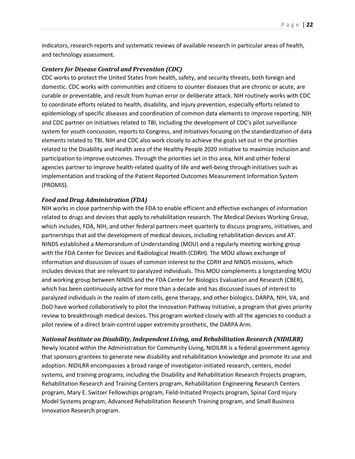indicators, research reports and systematic reviews of available research in particular areas of health, and technology assessment.

#### <span id="page-22-0"></span> *Centers for Disease Control and Prevention (CDC)*

 CDC works to protect the United States from health, safety, and security threats, both foreign and domestic. CDC works with communities and citizens to counter diseases that are chronic or acute, are curable or preventable, and result from human error or deliberate attack. NIH routinely works with CDC epidemiology of specific diseases and coordination of common data elements to improve reporting. NIH and CDC partner on initiatives related to TBI, including the development of CDC's pilot surveillance related to the Disability and Health area of the Healthy People 2020 initiative to maximize inclusion and agencies partner to improve health-related quality of life and well-being through initiatives such as to coordinate efforts related to health, disability, and injury prevention, especially efforts related to system for youth concussion, reports to Congress, and initiatives focusing on the standardization of data elements related to TBI. NIH and CDC also work closely to achieve the goals set out in the priorities participation to improve outcomes. Through the priorities set in this area, NIH and other federal implementation and tracking of the Patient Reported Outcomes Measurement Information System (PROMIS).

#### <span id="page-22-1"></span>*Food and Drug Administration (FDA)*

 NIH works in close partnership with the FDA to enable efficient and effective exchanges of information related to drugs and devices that apply to rehabilitation research. The Medical Devices Working Group, information and discussion of issues of common interest to the CDRH and NINDS missions, which which has been continuously active for more than a decade and has discussed issues of interest to which includes, FDA, NIH, and other federal partners meet quarterly to discuss programs, initiatives, and partnerships that aid the development of medical devices, including rehabilitation devices and AT. NINDS established a Memorandum of Understanding (MOU) and a regularly meeting working group with the FDA Center for Devices and Radiological Health (CDRH). The MOU allows exchange of includes devices that are relevant to paralyzed individuals. This MOU complements a longstanding MOU and working group between NINDS and the FDA Center for Biologics Evaluation and Research (CBER), paralyzed individuals in the realm of stem cells, gene therapy, and other biologics. DARPA, NIH, VA, and DoD have worked collaboratively to pilot the Innovation Pathway Initiative, a program that gives priority review to breakthrough medical devices. This program worked closely with all the agencies to conduct a pilot review of a direct brain-control upper extremity prosthetic, the DARPA Arm.

#### <span id="page-22-2"></span>*National Institute on Disability, Independent Living, and Rehabilitation Research (NIDILRR)*

 that sponsors grantees to generate new disability and rehabilitation knowledge and promote its use and Newly located within the Administration for Community Living, NIDILRR is a federal government agency adoption. NIDILRR encompasses a broad range of investigator-initiated research, centers, model systems, and training programs, including the Disability and Rehabilitation Research Projects program, Rehabilitation Research and Training Centers program, Rehabilitation Engineering Research Centers program, Mary E. Switzer Fellowships program, Field-Initiated Projects program, Spinal Cord Injury Model Systems program, Advanced Rehabilitation Research Training program, and Small Business Innovation Research program.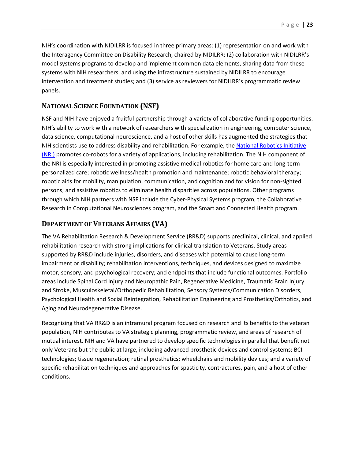systems with NIH researchers, and using the infrastructure sustained by NIDILRR to encourage NIH's coordination with NIDILRR is focused in three primary areas: (1) representation on and work with the Interagency Committee on Disability Research, chaired by NIDILRR; (2) collaboration with NIDILRR's model systems programs to develop and implement common data elements, sharing data from these intervention and treatment studies; and (3) service as reviewers for NIDILRR's programmatic review panels.

#### <span id="page-23-0"></span>**NATIONAL SCIENCE FOUNDATION (NSF)**

NIH scientists use to address disability and rehabilitation. For example, the National Robotics Initiative robotic aids for mobility, manipulation, communication, and cognition and for vision for non-sighted through which NIH partners with NSF include the Cyber-Physical Systems program, the Collaborative Research in Computational Neurosciences program, and the Smart and Connected Health program. NSF and NIH have enjoyed a fruitful partnership through a variety of collaborative funding opportunities. NIH's ability to work with a network of researchers with specialization in engineering, computer science, data science, computational neuroscience, and a host of other skills has augmented the strategies that [\(NRI\)](https://www.nsf.gov/funding/pgm_summ.jsp?pims_id=503641) promotes co-robots for a variety of applications, including rehabilitation. The NIH component of the NRI is especially interested in promoting assistive medical robotics for home care and long-term personalized care; robotic wellness/health promotion and maintenance; robotic behavioral therapy; persons; and assistive robotics to eliminate health disparities across populations. Other programs

#### <span id="page-23-1"></span>**DEPARTMENT OF VETERANS AFFAIRS (VA)**

 impairment or disability; rehabilitation interventions, techniques, and devices designed to maximize motor, sensory, and psychological recovery; and endpoints that include functional outcomes. Portfolio The VA Rehabilitation Research & Development Service (RR&D) supports preclinical, clinical, and applied rehabilitation research with strong implications for clinical translation to Veterans. Study areas supported by RR&D include injuries, disorders, and diseases with potential to cause long-term areas include Spinal Cord Injury and Neuropathic Pain, Regenerative Medicine, Traumatic Brain Injury and Stroke, Musculoskeletal/Orthopedic Rehabilitation, Sensory Systems/Communication Disorders, Psychological Health and Social Reintegration, Rehabilitation Engineering and Prosthetics/Orthotics, and Aging and Neurodegenerative Disease.

<span id="page-23-2"></span> population, NIH contributes to VA strategic planning, programmatic review, and areas of research of Recognizing that VA RR&D is an intramural program focused on research and its benefits to the veteran mutual interest. NIH and VA have partnered to develop specific technologies in parallel that benefit not only Veterans but the public at large, including advanced prosthetic devices and control systems; BCI technologies; tissue regeneration; retinal prosthetics; wheelchairs and mobility devices; and a variety of specific rehabilitation techniques and approaches for spasticity, contractures, pain, and a host of other conditions.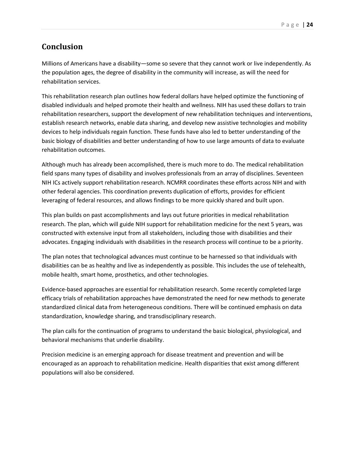# **Conclusion**

Millions of Americans have a disability—some so severe that they cannot work or live independently. As the population ages, the degree of disability in the community will increase, as will the need for rehabilitation services.

 disabled individuals and helped promote their health and wellness. NIH has used these dollars to train rehabilitation researchers, support the development of new rehabilitation techniques and interventions, establish research networks, enable data sharing, and develop new assistive technologies and mobility basic biology of disabilities and better understanding of how to use large amounts of data to evaluate This rehabilitation research plan outlines how federal dollars have helped optimize the functioning of devices to help individuals regain function. These funds have also led to better understanding of the rehabilitation outcomes.

 Although much has already been accomplished, there is much more to do. The medical rehabilitation field spans many types of disability and involves professionals from an array of disciplines. Seventeen other federal agencies. This coordination prevents duplication of efforts, provides for efficient NIH ICs actively support rehabilitation research. NCMRR coordinates these efforts across NIH and with leveraging of federal resources, and allows findings to be more quickly shared and built upon.

 research. The plan, which will guide NIH support for rehabilitation medicine for the next 5 years, was This plan builds on past accomplishments and lays out future priorities in medical rehabilitation constructed with extensive input from all stakeholders, including those with disabilities and their advocates. Engaging individuals with disabilities in the research process will continue to be a priority.

The plan notes that technological advances must continue to be harnessed so that individuals with disabilities can be as healthy and live as independently as possible. This includes the use of telehealth, mobile health, smart home, prosthetics, and other technologies.

 Evidence-based approaches are essential for rehabilitation research. Some recently completed large efficacy trials of rehabilitation approaches have demonstrated the need for new methods to generate standardized clinical data from heterogeneous conditions. There will be continued emphasis on data standardization, knowledge sharing, and transdisciplinary research.

 The plan calls for the continuation of programs to understand the basic biological, physiological, and behavioral mechanisms that underlie disability.

 Precision medicine is an emerging approach for disease treatment and prevention and will be encouraged as an approach to rehabilitation medicine. Health disparities that exist among different populations will also be considered.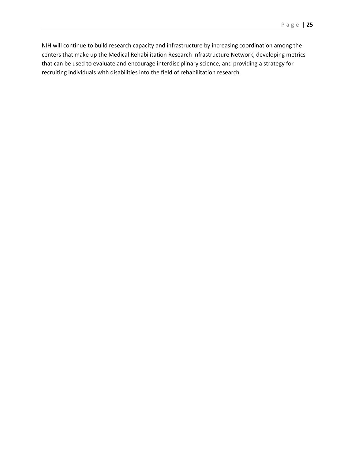NIH will continue to build research capacity and infrastructure by increasing coordination among the centers that make up the Medical Rehabilitation Research Infrastructure Network, developing metrics that can be used to evaluate and encourage interdisciplinary science, and providing a strategy for recruiting individuals with disabilities into the field of rehabilitation research.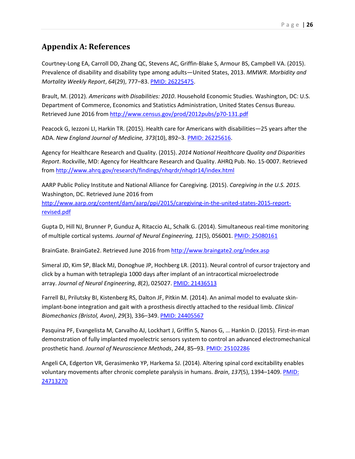### <span id="page-26-0"></span>**Appendix A: References**

 Courtney-Long EA, Carroll DD, Zhang QC, Stevens AC, Griffin-Blake S, Armour BS, Campbell VA. (2015). Prevalence of disability and disability type among adults—United States, 2013. *MMWR. Morbidity and Mortality Weekly Report*, *64*(29), 777–83[. PMID: 26225475.](http://www.ncbi.nlm.nih.gov/pubmed/26225475)

Retrieved June 2016 from http://www.census.gov/prod/2012pubs/p70-131.pdf Brault, M. (2012). *Americans with Disabilities: 2010*. Household Economic Studies. Washington, DC: U.S. Department of Commerce, Economics and Statistics Administration, United States Census Bureau.

 ADA. *New England Journal of Medicine, 373*(10), 892–3[. PMID: 26225616.](http://www.ncbi.nlm.nih.gov/pubmed/26225616) Peacock G, Iezzoni LI, Harkin TR. (2015). Health care for Americans with disabilities—25 years after the

Agency for Healthcare Research and Quality. (2015). *2014 National Healthcare Quality and Disparities Report*. Rockville, MD: Agency for Healthcare Research and Quality. AHRQ Pub. No. 15-0007. Retrieved from<http://www.ahrq.gov/research/findings/nhqrdr/nhqdr14/index.html>

 Washington, DC. Retrieved June 2016 from AARP Public Policy Institute and National Alliance for Caregiving. (2015). *Caregiving in the U.S. 2015.*  [http://www.aarp.org/content/dam/aarp/ppi/2015/caregiving-in-the-united-states-2015-report](http://www.aarp.org/content/dam/aarp/ppi/2015/caregiving-in-the-united-states-2015-report-revised.pdf)[revised.pdf](http://www.aarp.org/content/dam/aarp/ppi/2015/caregiving-in-the-united-states-2015-report-revised.pdf) 

Gupta D, Hill NJ, Brunner P, Gunduz A, Ritaccio AL, Schalk G. (2014). Simultaneous real-time monitoring of multiple cortical systems. *Journal of Neural Engineering, 11*(5), 056001. [PMID: 25080161](http://www.ncbi.nlm.nih.gov/pubmed/25080161) 

BrainGate. BrainGate2. Retrieved June 2016 from http://www.braingate2.org/index.asp

BrainGate. BrainGate2. Retrieved June 2016 from <u>http://www.braingate2.org/index.asp</u><br>Simeral JD, Kim SP, Black MJ, Donoghue JP, Hochberg LR. (2011). Neural control of cursor trajectory and click by a human with tetraplegia 1000 days after implant of an intracortical microelectrode array. *Journal of Neural Engineering*, *8*(2), 025027. [PMID: 21436513](http://www.ncbi.nlm.nih.gov/pubmed/21436513) 

 Farrell BJ, Prilutsky BI, Kistenberg RS, Dalton JF, Pitkin M. (2014). An animal model to evaluate skinimplant-bone integration and gait with a prosthesis directly attached to the residual limb. *Clinical Biomechanics (Bristol, Avon)*, *29*(3), 336–349[. PMID: 24405567](http://www.ncbi.nlm.nih.gov/pubmed/24405567) 

 demonstration of fully implanted myoelectric sensors system to control an advanced electromechanical Pasquina PF, Evangelista M, Carvalho AJ, Lockhart J, Griffin S, Nanos G, … Hankin D. (2015). First-in-man prosthetic hand. *Journal of Neuroscience Methods*, *244*, 85–93. [PMID: 25102286](http://www.ncbi.nlm.nih.gov/pubmed/25102286) 

 Angeli CA, Edgerton VR, Gerasimenko YP, Harkema SJ. (2014). Altering spinal cord excitability enables voluntary movements after chronic complete paralysis in humans. *Brain*, *137*(5), 1394–1409. [PMID:](http://www.ncbi.nlm.nih.gov/pubmed/24713270)  [24713270](http://www.ncbi.nlm.nih.gov/pubmed/24713270)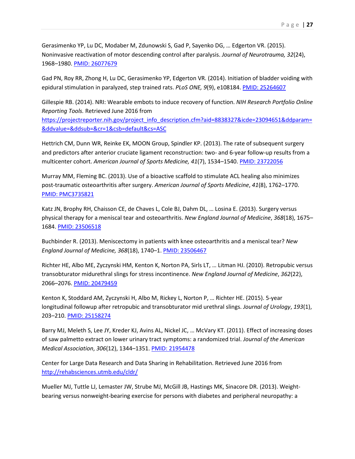Gerasimenko YP, Lu DC, Modaber M, Zdunowski S, Gad P, Sayenko DG, … Edgerton VR. (2015). Noninvasive reactivation of motor descending control after paralysis. *Journal of Neurotrauma, 32*(24), 1968–1980. [PMID: 26077679](http://www.ncbi.nlm.nih.gov/pubmed/26077679) 

 Gad PN, Roy RR, Zhong H, Lu DC, Gerasimenko YP, Edgerton VR. (2014). Initiation of bladder voiding with epidural stimulation in paralyzed, step trained rats. *PLoS ONE, 9*(9), e108184[. PMID: 25264607](http://www.ncbi.nlm.nih.gov/pubmed/25264607) 

&ddvalue=&ddsub=&cr=1&csb=default&cs=ASC Gillespie RB. (2014). NRI: Wearable embots to induce recovery of function. *NIH Research Portfolio Online Reporting Tools.* Retrieved June 2016 from https://projectreporter.nih.gov/project\_info\_description.cfm?aid=8838327&icde=23094651&ddparam=

<u>&ddvalue=&ddsub=&cr=1&csb=default&cs=ASC</u><br>Hettrich CM, Dunn WR, Reinke EK, MOON Group, Spindler KP. (2013). The rate of subsequent surgery and predictors after anterior cruciate ligament reconstruction: two- and 6-year follow-up results from a multicenter cohort. *American Journal of Sports Medicine, 41*(7), 1534–1540[. PMID: 23722056](http://www.ncbi.nlm.nih.gov/pubmed/23722056) 

 Murray MM, Fleming BC. (2013). Use of a bioactive scaffold to stimulate ACL healing also minimizes post-traumatic osteoarthritis after surgery. *American Journal of Sports Medicine*, *41*(8), 1762–1770. [PMID: PMC3735821](http://www.ncbi.nlm.nih.gov/pmc/articles/PMC3735821/) 

 Katz JN, Brophy RH, Chaisson CE, de Chaves L, Cole BJ, Dahm DL, … Losina E. (2013). Surgery versus physical therapy for a meniscal tear and osteoarthritis. *New England Journal of Medicine*, *368*(18), 1675– 1684[. PMID: 23506518](http://www.ncbi.nlm.nih.gov/pubmed/23506518) 

Buchbinder R. (2013). Meniscectomy in patients with knee osteoarthritis and a meniscal tear? *New England Journal of Medicine, 368*(18), 1740–1[. PMID: 23506467](http://www.ncbi.nlm.nih.gov/pubmed/23506467) 

 Richter HE, Albo ME, Zyczynski HM, Kenton K, Norton PA, Sirls LT, … Litman HJ. (2010). Retropubic versus transobturator midurethral slings for stress incontinence. *New England Journal of Medicine*, *362*(22), 2066–2076. [PMID: 20479459](http://www.ncbi.nlm.nih.gov/pubmed/20479459/) 

 Kenton K, Stoddard AM, Zyczynski H, Albo M, Rickey L, Norton P, … Richter HE. (2015). 5-year longitudinal followup after retropubic and transobturator mid urethral slings. *Journal of Urology*, *193*(1), 203–210. [PMID: 25158274](http://www.ncbi.nlm.nih.gov/pubmed/25158274) 

 Barry MJ, Meleth S, Lee JY, Kreder KJ, Avins AL, Nickel JC, … McVary KT. (2011). Effect of increasing doses of saw palmetto extract on lower urinary tract symptoms: a randomized trial. *Journal of the American Medical Association*, *306*(12), 1344–1351. [PMID: 21954478](http://www.ncbi.nlm.nih.gov/pubmed/21954478) 

http://rehabsciences.utmb.edu/cldr/ Center for Large Data Research and Data Sharing in Rehabilitation. Retrieved June 2016 from

<u>http://rehabsciences.utmb.edu/cldr/</u><br>Mueller MJ, Tuttle LJ, Lemaster JW, Strube MJ, McGill JB, Hastings MK, Sinacore DR. (2013). Weightbearing versus nonweight-bearing exercise for persons with diabetes and peripheral neuropathy: a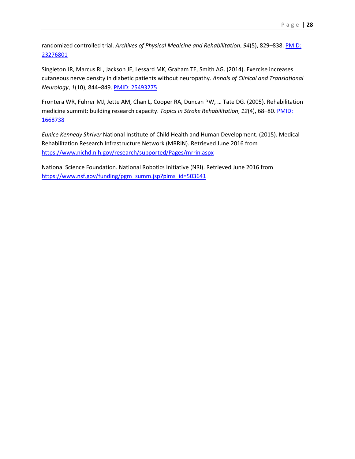23276801 randomized controlled trial. *Archives of Physical Medicine and Rehabilitation*, *94*(5), 829–838. [PMID:](http://www.ncbi.nlm.nih.gov/pubmed/23276801) 

 cutaneous nerve density in diabetic patients without neuropathy. *Annals of Clinical and Translational*  Singleton JR, Marcus RL, Jackson JE, Lessard MK, Graham TE, Smith AG. (2014). Exercise increases *Neurology*, *1*(10), 844–849. [PMID: 25493275](http://www.ncbi.nlm.nih.gov/pubmed/25493275) 

 Frontera WR, Fuhrer MJ, Jette AM, Chan L, Cooper RA, Duncan PW, … Tate DG. (2005). Rehabilitation medicine summit: building research capacity. *Topics in Stroke Rehabilitation*, *12*(4), 68–80. [PMID:](http://www.ncbi.nlm.nih.gov/pubmed/16698738)  [1668738](http://www.ncbi.nlm.nih.gov/pubmed/16698738) 

 Rehabilitation Research Infrastructure Network (MRRIN). Retrieved June 2016 from https://www.nichd.nih.gov/research/supported/Pages/mrrin.aspx <u>https://www.nichd.nih.gov/research/supported/Pages/mrrin.aspx</u><br>National Science Foundation. National Robotics Initiative (NRI). Retrieved June 2016 from *Eunice Kennedy Shriver* National Institute of Child Health and Human Development. (2015). Medical

[https://www.nsf.gov/funding/pgm\\_summ.jsp?pims\\_id=503641](https://www.nsf.gov/funding/pgm_summ.jsp?pims_id=503641)